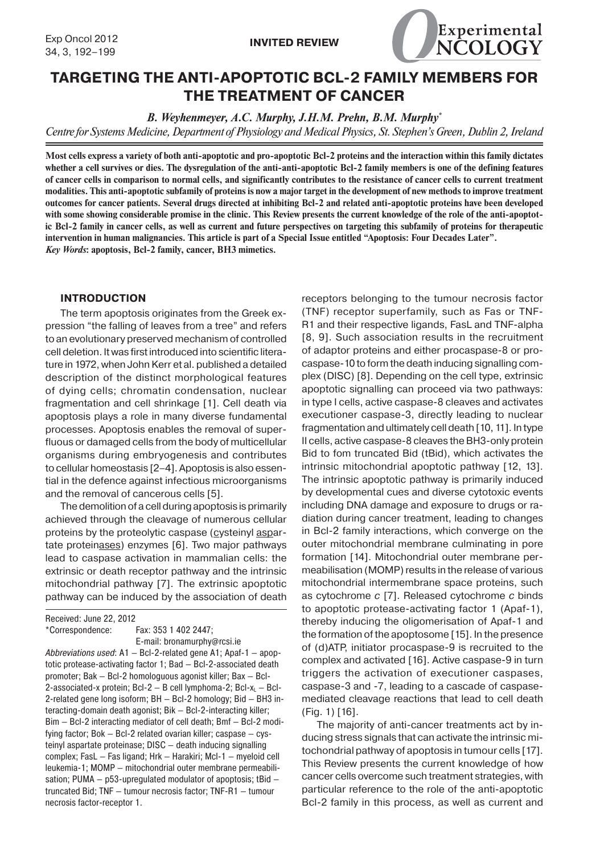

# **TARGETING THE ANTI-APOPTOTIC BCL-2 FAMILY MEMBERS FOR THE TREATMENT OF CANCER**

*B. Weyhenmeyer, A.C. Murphy, J.H.M. Prehn, B.M. Murphy\**

*Centre for Systems Medicine, Department of Physiology and Medical Physics, St. Stephen's Green, Dublin 2, Ireland*

**Most cells express a variety of both anti-apoptotic and pro-apoptotic Bcl-2 proteins and the interaction within this family dictates whether a cell survives or dies. The dysregulation of the anti-anti-apoptotic Bcl-2 family members is one of the defining features of cancer cells in comparison to normal cells, and significantly contributes to the resistance of cancer cells to current treatment modalities. This anti-apoptotic subfamily of proteins is now a major target in the development of new methods to improve treatment outcomes for cancer patients. Several drugs directed at inhibiting Bcl-2 and related anti-apoptotic proteins have been developed with some showing considerable promise in the clinic. This Review presents the current knowledge of the role of the anti-apoptotic Bcl-2 family in cancer cells, as well as current and future perspectives on targeting this subfamily of proteins for therapeutic intervention in human malignancies. This article is part of a Special Issue entitled "Apoptosis: Four Decades Later".** *Key Words***: apoptosis, Bcl-2 family, cancer, BH3 mimetics.**

#### **INTRODUCTION**

The term apoptosis originates from the Greek expression "the falling of leaves from a tree" and refers to an evolutionary preserved mechanism of controlled cell deletion. It was first introduced into scientific literature in 1972, when John Kerr et al. published a detailed description of the distinct morphological features of dying cells; chromatin condensation, nuclear fragmentation and cell shrinkage [1]. Cell death via apoptosis plays a role in many diverse fundamental processes. Apoptosis enables the removal of superfluous or damaged cells from the body of multicellular organisms during embryogenesis and contributes to cellular homeostasis [2–4]. Apoptosis is also essential in the defence against infectious microorganisms and the removal of cancerous cells [5].

The demolition of a cell during apoptosis is primarily achieved through the cleavage of numerous cellular proteins by the proteolytic caspase (cysteinyl aspartate proteinases) enzymes [6]. Two major pathways lead to caspase activation in mammalian cells: the extrinsic or death receptor pathway and the intrinsic mitochondrial pathway [7]. The extrinsic apoptotic pathway can be induced by the association of death

Received: June 22, 2012 \*Correspondence: Fax: 353 1 402 2447; E-mail: bronamurphy@rcsi.ie Abbreviations used: A1 — Bcl-2-related gene A1; Apaf-1 — apoptotic protease-activating factor 1; Bad — Bcl-2-associated death promoter; Bak — Bcl-2 homologuous agonist killer; Bax — Bcl-2-associated-x protein; Bcl-2  $-$  B cell lymphoma-2; Bcl-x<sub>L</sub>  $-$  Bcl-2-related gene long isoform; BH — Bcl-2 homology; Bid — BH3 interacting-domain death agonist; Bik — Bcl-2-interacting killer; Bim — Bcl-2 interacting mediator of cell death; Bmf — Bcl-2 modifying factor; Bok — Bcl-2 related ovarian killer; caspase — cysteinyl aspartate proteinase; DISC — death inducing signalling complex; FasL — Fas ligand; Hrk — Harakiri; Mcl-1 — myeloid cell leukemia-1; MOMP — mitochondrial outer membrane permeabilisation; PUMA — p53-upregulated modulator of apoptosis; tBid truncated Bid; TNF — tumour necrosis factor; TNF-R1 — tumour necrosis factor-receptor 1.

receptors belonging to the tumour necrosis factor (TNF) receptor superfamily, such as Fas or TNF-R1 and their respective ligands, FasL and TNF-alpha [8, 9]. Such association results in the recruitment of adaptor proteins and either procaspase-8 or procaspase-10 to form the death inducing signalling complex (DISC) [8]. Depending on the cell type, extrinsic apoptotic signalling can proceed via two pathways: in type I cells, active caspase-8 cleaves and activates executioner caspase-3, directly leading to nuclear fragmentation and ultimately cell death [10, 11]. In type II cells, active caspase-8 cleaves the BH3-only protein Bid to fom truncated Bid (tBid), which activates the intrinsic mitochondrial apoptotic pathway [12, 13]. The intrinsic apoptotic pathway is primarily induced by developmental cues and diverse cytotoxic events including DNA damage and exposure to drugs or radiation during cancer treatment, leading to changes in Bcl-2 family interactions, which converge on the outer mitochondrial membrane culminating in pore formation [14]. Mitochondrial outer membrane permeabilisation (MOMP) results in the release of various mitochondrial intermembrane space proteins, such as cytochrome *c* [7]. Released cytochrome *c* binds to apoptotic protease-activating factor 1 (Apaf-1), thereby inducing the oligomerisation of Apaf-1 and the formation of the apoptosome [15]. In the presence of (d)ATP, initiator procaspase-9 is recruited to the complex and activated [16]. Active caspase-9 in turn triggers the activation of executioner caspases, caspase-3 and -7, leading to a cascade of caspasemediated cleavage reactions that lead to cell death (Fig. 1) [16].

The majority of anti-cancer treatments act by inducing stress signals that can activate the intrinsic mitochondrial pathway of apoptosis in tumour cells [17]. This Review presents the current knowledge of how cancer cells overcome such treatment strategies, with particular reference to the role of the anti-apoptotic Bcl-2 family in this process, as well as current and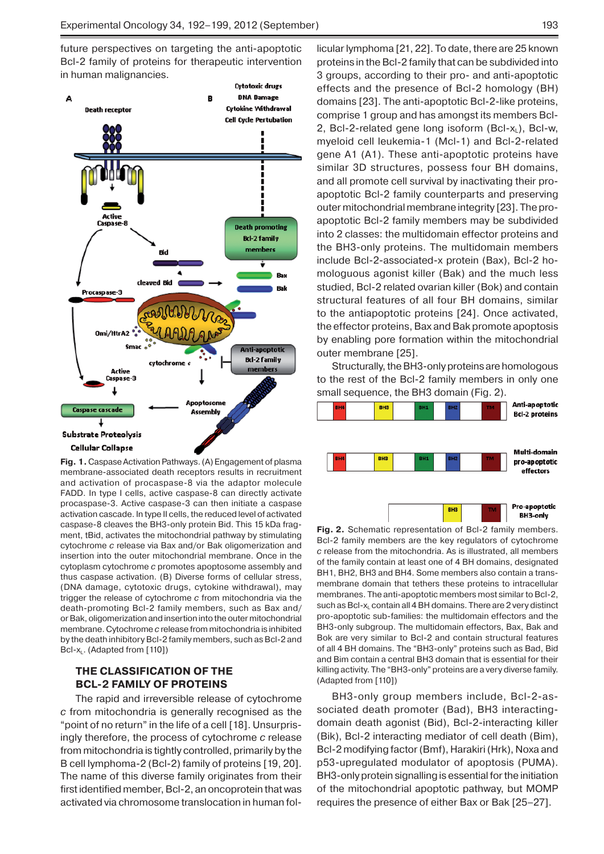future perspectives on targeting the anti-apoptotic Bcl-2 family of proteins for therapeutic intervention in human malignancies.



**Fig. 1.** Caspase Activation Pathways. (A) Engagement of plasma membrane-associated death receptors results in recruitment and activation of procaspase-8 via the adaptor molecule FADD. In type I cells, active caspase-8 can directly activate procaspase-3. Active caspase-3 can then initiate a caspase activation cascade. In type II cells, the reduced level of activated caspase-8 cleaves the BH3-only protein Bid. This 15 kDa fragment, tBid, activates the mitochondrial pathway by stimulating cytochrome *c* release via Bax and/or Bak oligomerization and insertion into the outer mitochondrial membrane. Once in the cytoplasm cytochrome *c* promotes apoptosome assembly and thus caspase activation. (B) Diverse forms of cellular stress, (DNA damage, cytotoxic drugs, cytokine withdrawal), may trigger the release of cytochrome *c* from mitochondria via the death-promoting Bcl-2 family members, such as Bax and/ or Bak, oligomerization and insertion into the outer mitochondrial membrane. Cytochrome *c* release from mitochondria is inhibited by the death inhibitory Bcl-2 family members, such as Bcl-2 and Bcl-x<sub>L</sub>. (Adapted from [110])

# **THE CLASSIFICATION OF THE BCL-2 FAMILY OF PROTEINS**

The rapid and irreversible release of cytochrome *c* from mitochondria is generally recognised as the "point of no return" in the life of a cell [18]. Unsurprisingly therefore, the process of cytochrome *c* release from mitochondria is tightly controlled, primarily by the B cell lymphoma-2 (Bcl-2) family of proteins [19, 20]. The name of this diverse family originates from their first identified member, Bcl-2, an oncoprotein that was activated via chromosome translocation in human follicular lymphoma [21, 22]. To date, there are 25 known proteins in the Bcl-2 family that can be subdivided into 3 groups, according to their pro- and anti-apoptotic effects and the presence of Bcl-2 homology (BH) domains [23]. The anti-apoptotic Bcl-2-like proteins, comprise 1 group and has amongst its members Bcl-2, Bcl-2-related gene long isoform (Bcl- $x_L$ ), Bcl-w, myeloid cell leukemia-1 (Mcl-1) and Bcl-2-related gene A1 (A1). These anti-apoptotic proteins have similar 3D structures, possess four BH domains, and all promote cell survival by inactivating their proapoptotic Bcl-2 family counterparts and preserving outer mitochondrial membrane integrity [23]. The proapoptotic Bcl-2 family members may be subdivided into 2 classes: the multidomain effector proteins and the BH3-only proteins. The multidomain members include Bcl-2-associated-x protein (Bax), Bcl-2 homologuous agonist killer (Bak) and the much less studied, Bcl-2 related ovarian killer (Bok) and contain structural features of all four BH domains, similar to the antiapoptotic proteins [24]. Once activated, the effector proteins, Bax and Bak promote apoptosis by enabling pore formation within the mitochondrial outer membrane [25].

Structurally, the BH3-only proteins are homologous to the rest of the Bcl-2 family members in only one small sequence, the BH3 domain (Fig. 2).



**Fig. 2.** Schematic representation of Bcl-2 family members. Bcl-2 family members are the key regulators of cytochrome *c* release from the mitochondria. As is illustrated, all members of the family contain at least one of 4 BH domains, designated BH1, BH2, BH3 and BH4. Some members also contain a transmembrane domain that tethers these proteins to intracellular membranes. The anti-apoptotic members most similar to Bcl-2, such as Bcl-x<sub>L</sub> contain all 4 BH domains. There are 2 very distinct pro-apoptotic sub-families: the multidomain effectors and the BH3-only subgroup. The multidomain effectors, Bax, Bak and Bok are very similar to Bcl-2 and contain structural features of all 4 BH domains. The "BH3-only" proteins such as Bad, Bid and Bim contain a central BH3 domain that is essential for their killing activity. The "BH3-only" proteins are a very diverse family. (Adapted from [110])

BH3-only group members include, Bcl-2-associated death promoter (Bad), BH3 interactingdomain death agonist (Bid), Bcl-2-interacting killer (Bik), Bcl-2 interacting mediator of cell death (Bim), Bcl-2 modifying factor (Bmf), Harakiri (Hrk), Noxa and p53-upregulated modulator of apoptosis (PUMA). BH3-only protein signalling is essential for the initiation of the mitochondrial apoptotic pathway, but MOMP requires the presence of either Bax or Bak [25–27].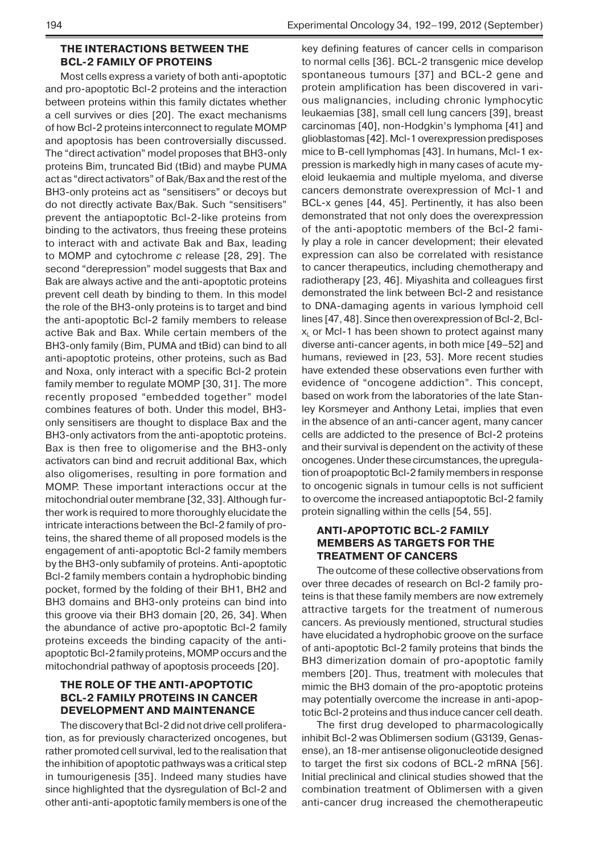## **THE INTERACTIONS BETWEEN THE BCL-2 FAMILY OF PROTEINS**

Most cells express a variety of both anti-apoptotic and pro-apoptotic Bcl-2 proteins and the interaction between proteins within this family dictates whether a cell survives or dies [20]. The exact mechanisms of how Bcl-2 proteins interconnect to regulate MOMP and apoptosis has been controversially discussed. The "direct activation" model proposes that BH3-only proteins Bim, truncated Bid (tBid) and maybe PUMA act as "direct activators" of Bak/Bax and the rest of the BH3-only proteins act as "sensitisers" or decoys but do not directly activate Bax/Bak. Such "sensitisers" prevent the antiapoptotic Bcl-2-like proteins from binding to the activators, thus freeing these proteins to interact with and activate Bak and Bax, leading to MOMP and cytochrome *c* release [28, 29]. The second "derepression" model suggests that Bax and Bak are always active and the anti-apoptotic proteins prevent cell death by binding to them. In this model the role of the BH3-only proteins is to target and bind the anti-apoptotic Bcl-2 family members to release active Bak and Bax. While certain members of the BH3-only family (Bim, PUMA and tBid) can bind to all anti-apoptotic proteins, other proteins, such as Bad and Noxa, only interact with a specific Bcl-2 protein family member to regulate MOMP [30, 31]. The more recently proposed "embedded together" model combines features of both. Under this model, BH3 only sensitisers are thought to displace Bax and the BH3-only activators from the anti-apoptotic proteins. Bax is then free to oligomerise and the BH3-only activators can bind and recruit additional Bax, which also oligomerises, resulting in pore formation and MOMP. These important interactions occur at the mitochondrial outer membrane [32, 33]. Although further work is required to more thoroughly elucidate the intricate interactions between the Bcl-2 family of proteins, the shared theme of all proposed models is the engagement of anti-apoptotic Bcl-2 family members by the BH3-only subfamily of proteins. Anti-apoptotic Bcl-2 family members contain a hydrophobic binding pocket, formed by the folding of their BH1, BH2 and BH3 domains and BH3-only proteins can bind into this groove via their BH3 domain [20, 26, 34]. When the abundance of active pro-apoptotic Bcl-2 family proteins exceeds the binding capacity of the antiapoptotic Bcl-2 family proteins, MOMP occurs and the mitochondrial pathway of apoptosis proceeds [20].

# **THE ROLE OF THE ANTI-APOPTOTIC BCL-2 FAMILY PROTEINS IN CANCER DEVELOPMENT AND MAINTENANCE**

The discovery that Bcl-2 did not drive cell proliferation, as for previously characterized oncogenes, but rather promoted cell survival, led to the realisation that the inhibition of apoptotic pathways was a critical step in tumourigenesis [35]. Indeed many studies have since highlighted that the dysregulation of Bcl-2 and other anti-anti-apoptotic family members is one of the

key defining features of cancer cells in comparison to normal cells [36]. BCL-2 transgenic mice develop spontaneous tumours [37] and BCL-2 gene and protein amplification has been discovered in various malignancies, including chronic lymphocytic leukaemias [38], small cell lung cancers [39], breast carcinomas [40], non-Hodgkin's lymphoma [41] and glioblastomas [42]. Mcl-1 overexpression predisposes mice to B-cell lymphomas [43]. In humans, Mcl-1 expression is markedly high in many cases of acute myeloid leukaemia and multiple myeloma, and diverse cancers demonstrate overexpression of Mcl-1 and BCL-x genes [44, 45]. Pertinently, it has also been demonstrated that not only does the overexpression of the anti-apoptotic members of the Bcl-2 family play a role in cancer development; their elevated expression can also be correlated with resistance to cancer therapeutics, including chemotherapy and radiotherapy [23, 46]. Miyashita and colleagues first demonstrated the link between Bcl-2 and resistance to DNA-damaging agents in various lymphoid cell lines [47, 48]. Since then overexpression of Bcl-2, Bcl $x<sub>L</sub>$  or McI-1 has been shown to protect against many diverse anti-cancer agents, in both mice [49–52] and humans, reviewed in [23, 53]. More recent studies have extended these observations even further with evidence of "oncogene addiction". This concept, based on work from the laboratories of the late Stanley Korsmeyer and Anthony Letai, implies that even in the absence of an anti-cancer agent, many cancer cells are addicted to the presence of Bcl-2 proteins and their survival is dependent on the activity of these oncogenes. Under these circumstances, the upregulation of proapoptotic Bcl-2 family members in response to oncogenic signals in tumour cells is not sufficient to overcome the increased antiapoptotic Bcl-2 family protein signalling within the cells [54, 55].

# **ANTI-APOPTOTIC BCL-2 FAMILY MEMBERS AS TARGETS FOR THE TREATMENT OF CANCERS**

The outcome of these collective observations from over three decades of research on Bcl-2 family proteins is that these family members are now extremely attractive targets for the treatment of numerous cancers. As previously mentioned, structural studies have elucidated a hydrophobic groove on the surface of anti-apoptotic Bcl-2 family proteins that binds the BH3 dimerization domain of pro-apoptotic family members [20]. Thus, treatment with molecules that mimic the BH3 domain of the pro-apoptotic proteins may potentially overcome the increase in anti-apoptotic Bcl-2 proteins and thus induce cancer cell death.

The first drug developed to pharmacologically inhibit Bcl-2 was Oblimersen sodium (G3139, Genasense), an 18-mer antisense oligonucleotide designed to target the first six codons of BCL-2 mRNA [56]. Initial preclinical and clinical studies showed that the combination treatment of Oblimersen with a given anti-cancer drug increased the chemotherapeutic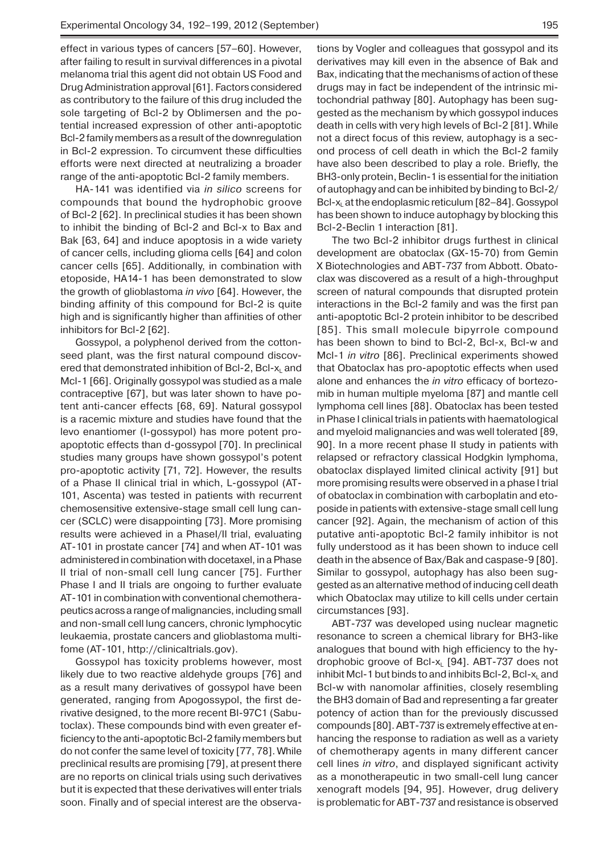effect in various types of cancers [57–60]. However, after failing to result in survival differences in a pivotal melanoma trial this agent did not obtain US Food and Drug Administration approval [61]. Factors considered as contributory to the failure of this drug included the sole targeting of Bcl-2 by Oblimersen and the potential increased expression of other anti-apoptotic Bcl-2 family members as a result of the downregulation in Bcl-2 expression. To circumvent these difficulties efforts were next directed at neutralizing a broader range of the anti-apoptotic Bcl-2 family members.

HA-141 was identified via *in silico* screens for compounds that bound the hydrophobic groove of Bcl-2 [62]. In preclinical studies it has been shown to inhibit the binding of Bcl-2 and Bcl-x to Bax and Bak [63, 64] and induce apoptosis in a wide variety of cancer cells, including glioma cells [64] and colon cancer cells [65]. Additionally, in combination with etoposide, HA14-1 has been demonstrated to slow the growth of glioblastoma *in vivo* [64]. However, the binding affinity of this compound for Bcl-2 is quite high and is significantly higher than affinities of other inhibitors for Bcl-2 [62].

Gossypol, a polyphenol derived from the cottonseed plant, was the first natural compound discovered that demonstrated inhibition of Bcl-2, Bcl-x<sub>L</sub> and Mcl-1 [66]. Originally gossypol was studied as a male contraceptive [67], but was later shown to have potent anti-cancer effects [68, 69]. Natural gossypol is a racemic mixture and studies have found that the levo enantiomer (l-gossypol) has more potent proapoptotic effects than d-gossypol [70]. In preclinical studies many groups have shown gossypol's potent pro-apoptotic activity [71, 72]. However, the results of a Phase II clinical trial in which, L-gossypol (AT-101, Ascenta) was tested in patients with recurrent chemosensitive extensive-stage small cell lung cancer (SCLC) were disappointing [73]. More promising results were achieved in a PhaseI/II trial, evaluating AT-101 in prostate cancer [74] and when AT-101 was administered in combination with docetaxel, in a Phase II trial of non-small cell lung cancer [75]. Further Phase I and II trials are ongoing to further evaluate AT-101 in combination with conventional chemotherapeutics across a range of malignancies, including small and non-small cell lung cancers, chronic lymphocytic leukaemia, prostate cancers and glioblastoma multifome (AT-101, http://clinicaltrials.gov).

Gossypol has toxicity problems however, most likely due to two reactive aldehyde groups [76] and as a result many derivatives of gossypol have been generated, ranging from Apogossypol, the first derivative designed, to the more recent BI-97C1 (Sabutoclax). These compounds bind with even greater efficiency to the anti-apoptotic Bcl-2 family members but do not confer the same level of toxicity [77, 78]. While preclinical results are promising [79], at present there are no reports on clinical trials using such derivatives but it is expected that these derivatives will enter trials soon. Finally and of special interest are the observa-

tions by Vogler and colleagues that gossypol and its derivatives may kill even in the absence of Bak and Bax, indicating that the mechanisms of action of these drugs may in fact be independent of the intrinsic mitochondrial pathway [80]. Autophagy has been suggested as the mechanism by which gossypol induces death in cells with very high levels of Bcl-2 [81]. While not a direct focus of this review, autophagy is a second process of cell death in which the Bcl-2 family have also been described to play a role. Briefly, the BH3-only protein, Beclin-1 is essential for the initiation of autophagy and can be inhibited by binding to Bcl-2/ Bcl-x<sub>i</sub> at the endoplasmic reticulum  $[82–84]$ . Gossypol has been shown to induce autophagy by blocking this Bcl-2-Beclin 1 interaction [81].

The two Bcl-2 inhibitor drugs furthest in clinical development are obatoclax (GX-15-70) from Gemin X Biotechnologies and ABT-737 from Abbott. Obatoclax was discovered as a result of a high-throughput screen of natural compounds that disrupted protein interactions in the Bcl-2 family and was the first pan anti-apoptotic Bcl-2 protein inhibitor to be described [85]. This small molecule bipyrrole compound has been shown to bind to Bcl-2, Bcl-x, Bcl-w and Mcl-1 *in vitro* [86]. Preclinical experiments showed that Obatoclax has pro-apoptotic effects when used alone and enhances the *in vitro* efficacy of bortezomib in human multiple myeloma [87] and mantle cell lymphoma cell lines [88]. Obatoclax has been tested in Phase I clinical trials in patients with haematological and myeloid malignancies and was well tolerated [89, 90]. In a more recent phase II study in patients with relapsed or refractory classical Hodgkin lymphoma, obatoclax displayed limited clinical activity [91] but more promising results were observed in a phase I trial of obatoclax in combination with carboplatin and etoposide in patients with extensive-stage small cell lung cancer [92]. Again, the mechanism of action of this putative anti-apoptotic Bcl-2 family inhibitor is not fully understood as it has been shown to induce cell death in the absence of Bax/Bak and caspase-9 [80]. Similar to gossypol, autophagy has also been suggested as an alternative method of inducing cell death which Obatoclax may utilize to kill cells under certain circumstances [93].

ABT-737 was developed using nuclear magnetic resonance to screen a chemical library for BH3-like analogues that bound with high efficiency to the hydrophobic groove of Bcl- $x_L$  [94]. ABT-737 does not inhibit McI-1 but binds to and inhibits BcI-2, BcI- $x_i$  and Bcl-w with nanomolar affinities, closely resembling the BH3 domain of Bad and representing a far greater potency of action than for the previously discussed compounds [80]. ABT-737 is extremely effective at enhancing the response to radiation as well as a variety of chemotherapy agents in many different cancer cell lines *in vitro*, and displayed significant activity as a monotherapeutic in two small-cell lung cancer xenograft models [94, 95]. However, drug delivery is problematic for ABT-737 and resistance is observed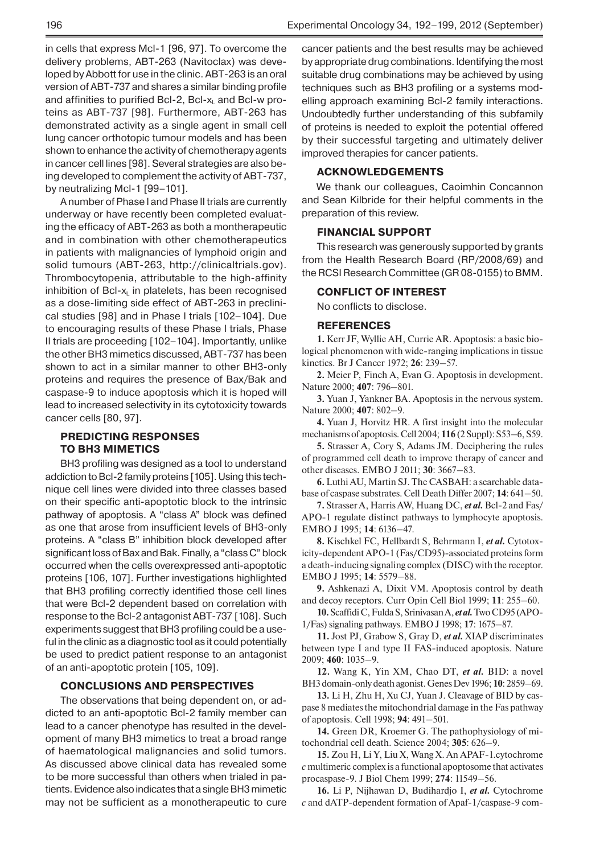in cells that express Mcl-1 [96, 97]. To overcome the delivery problems, ABT-263 (Navitoclax) was developed by Abbott for use in the clinic. ABT-263 is an oral version of ABT-737 and shares a similar binding profile and affinities to purified Bcl-2, Bcl- $x_i$  and Bcl-w proteins as ABT-737 [98]. Furthermore, ABT-263 has demonstrated activity as a single agent in small cell lung cancer orthotopic tumour models and has been shown to enhance the activity of chemotherapy agents in cancer cell lines [98]. Several strategies are also being developed to complement the activity of ABT-737, by neutralizing Mcl-1 [99-101].

A number of Phase I and Phase II trials are currently underway or have recently been completed evaluating the efficacy of ABT-263 as both a montherapeutic and in combination with other chemotherapeutics in patients with malignancies of lymphoid origin and solid tumours (ABT-263, http://clinicaltrials.gov). Thrombocytopenia, attributable to the high-affinity inhibition of Bcl- $x<sub>L</sub>$  in platelets, has been recognised as a dose-limiting side effect of ABT-263 in preclinical studies [98] and in Phase I trials [102–104]. Due to encouraging results of these Phase I trials, Phase II trials are proceeding [102–104]. Importantly, unlike the other BH3 mimetics discussed, ABT-737 has been shown to act in a similar manner to other BH3-only proteins and requires the presence of Bax/Bak and caspase-9 to induce apoptosis which it is hoped will lead to increased selectivity in its cytotoxicity towards cancer cells [80, 97].

## **PREDICTING RESPONSES TO BH3 MIMETICS**

BH3 profiling was designed as a tool to understand addiction to Bcl-2 family proteins [105]. Using this technique cell lines were divided into three classes based on their specific anti-apoptotic block to the intrinsic pathway of apoptosis. A "class A" block was defined as one that arose from insufficient levels of BH3-only proteins. A "class B" inhibition block developed after significant loss of Bax and Bak. Finally, a "class C" block occurred when the cells overexpressed anti-apoptotic proteins [106, 107]. Further investigations highlighted that BH3 profiling correctly identified those cell lines that were Bcl-2 dependent based on correlation with response to the Bcl-2 antagonist ABT-737 [108]. Such experiments suggest that BH3 profiling could be a useful in the clinic as a diagnostic tool as it could potentially be used to predict patient response to an antagonist of an anti-apoptotic protein [105, 109].

#### **CONCLUSIONS AND PERSPECTIVES**

The observations that being dependent on, or addicted to an anti-apoptotic Bcl-2 family member can lead to a cancer phenotype has resulted in the development of many BH3 mimetics to treat a broad range of haematological malignancies and solid tumors. As discussed above clinical data has revealed some to be more successful than others when trialed in patients. Evidence also indicates that a single BH3 mimetic may not be sufficient as a monotherapeutic to cure

cancer patients and the best results may be achieved by appropriate drug combinations. Identifying the most suitable drug combinations may be achieved by using techniques such as BH3 profiling or a systems modelling approach examining Bcl-2 family interactions. Undoubtedly further understanding of this subfamily of proteins is needed to exploit the potential offered by their successful targeting and ultimately deliver

#### **ACKNOWLEDGEMENTS**

improved therapies for cancer patients.

We thank our colleagues, Caoimhin Concannon and Sean Kilbride for their helpful comments in the preparation of this review.

#### **FINANCIAL SUPPORT**

This research was generously supported by grants from the Health Research Board (RP/2008/69) and the RCSI Research Committee (GR 08-0155) to BMM.

#### **CONFLICT OF INTEREST**

No conflicts to disclose.

#### **REFERENCES**

**1.** Kerr JF, Wyllie AH, Currie AR. Apoptosis: a basic biological phenomenon with wide-ranging implications in tissue kinetics. Br J Cancer 1972; **26**: 239–57.

**2.** Meier P, Finch A, Evan G. Apoptosis in development. Nature 2000; **407**: 796–801.

**3.** Yuan J, Yankner BA. Apoptosis in the nervous system. Nature 2000; **407**: 802–9.

**4.** Yuan J, Horvitz HR. A first insight into the molecular mechanisms of apoptosis. Cell 2004; **116** (2 Suppl): S53–6, S59.

**5.** Strasser A, Cory S, Adams JM. Deciphering the rules of programmed cell death to improve therapy of cancer and other diseases. EMBO J 2011; **30**: 3667–83.

**6.** Luthi AU, Martin SJ. The CASBAH: a searchable database of caspase substrates. Cell Death Differ 2007; **14**: 641–50.

**7.** Strasser A, Harris AW, Huang DC, *et al.* Bcl-2 and Fas/ APO-1 regulate distinct pathways to lymphocyte apoptosis. EMBO J 1995; **14**: 6136–47.

**8.** Kischkel FC, Hellbardt S, Behrmann I, *et al.* Cytotoxicity-dependent APO-1 (Fas/CD95)-associated proteins form a death-inducing signaling complex (DISC) with the receptor. EMBO J 1995; **14**: 5579–88.

**9.** Ashkenazi A, Dixit VM. Apoptosis control by death and decoy receptors. Curr Opin Cell Biol 1999; **11**: 255–60.

**10.** Scaffidi C, Fulda S, Srinivasan A, *et al.* Two CD95 (APO-1/Fas) signaling pathways. EMBO J 1998; **17**: 1675–87.

**11.** Jost PJ, Grabow S, Gray D, *et al.* XIAP discriminates between type I and type II FAS-induced apoptosis. Nature 2009; **460**: 1035–9.

**12.** Wang K, Yin XM, Chao DT, *et al.* BID: a novel BH3 domain-only death agonist. Genes Dev 1996; **10**: 2859–69.

**13.** Li H, Zhu H, Xu CJ, Yuan J. Cleavage of BID by caspase 8 mediates the mitochondrial damage in the Fas pathway of apoptosis. Cell 1998; **94**: 491–501.

**14.** Green DR, Kroemer G. The pathophysiology of mitochondrial cell death. Science 2004; **305**: 626–9.

**15.** Zou H, Li Y, Liu X, Wang X. An APAF-1.cytochrome *c* multimeric complex is a functional apoptosome that activates procaspase-9. J Biol Chem 1999; **274**: 11549–56.

**16.** Li P, Nijhawan D, Budihardjo I, *et al.* Cytochrome *c* and dATP-dependent formation of Apaf-1/caspase-9 com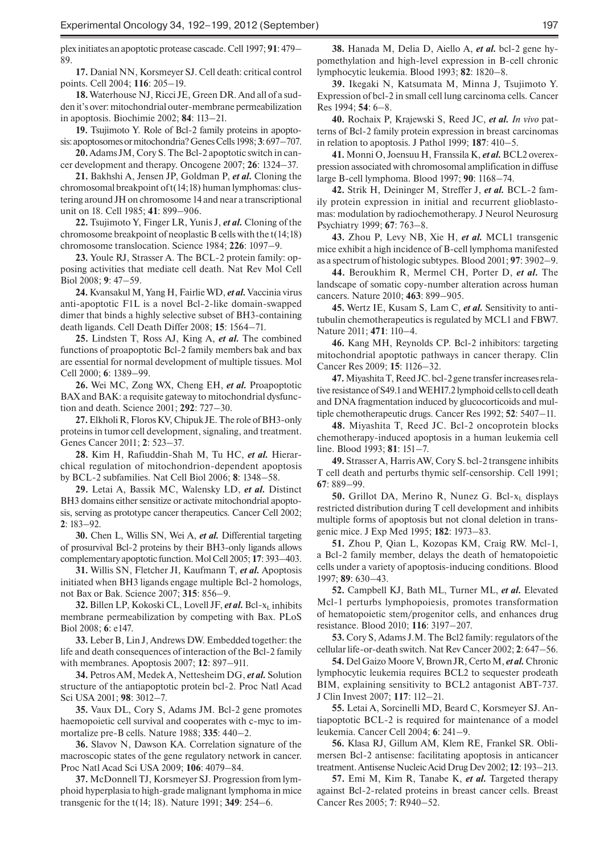plex initiates an apoptotic protease cascade. Cell 1997; **91**: 479– 89.

**17.** Danial NN, Korsmeyer SJ. Cell death: critical control points. Cell 2004; **116**: 205–19.

**18.** Waterhouse NJ, Ricci JE, Green DR. And all of a sudden it's over: mitochondrial outer-membrane permeabilization in apoptosis. Biochimie 2002; **84**: 113–21.

**19.** Tsujimoto Y. Role of Bcl-2 family proteins in apoptosis: apoptosomes or mitochondria? Genes Cells 1998; **3**: 697–707. **20.** Adams JM, Cory S. The Bcl-2 apoptotic switch in can-

cer development and therapy. Oncogene 2007; **26**: 1324–37.

**21.** Bakhshi A, Jensen JP, Goldman P, *et al.* Cloning the chromosomal breakpoint of t(14;18) human lymphomas: clustering around JH on chromosome 14 and near a transcriptional unit on 18. Cell 1985; **41**: 899–906.

**22.** Tsujimoto Y, Finger LR, Yunis J, *et al.* Cloning of the chromosome breakpoint of neoplastic B cells with the t(14;18) chromosome translocation. Science 1984; **226**: 1097–9.

**23.** Youle RJ, Strasser A. The BCL-2 protein family: opposing activities that mediate cell death. Nat Rev Mol Cell Biol 2008; **9**: 47–59.

**24.** Kvansakul M, Yang H, Fairlie WD, *et al.* Vaccinia virus anti-apoptotic F1L is a novel Bcl-2-like domain-swapped dimer that binds a highly selective subset of BH3-containing death ligands. Cell Death Differ 2008; **15**: 1564–71.

**25.** Lindsten T, Ross AJ, King A, *et al.* The combined functions of proapoptotic Bcl-2 family members bak and bax are essential for normal development of multiple tissues. Mol Cell 2000; **6**: 1389–99.

**26.** Wei MC, Zong WX, Cheng EH, *et al.* Proapoptotic BAX and BAK: a requisite gateway to mitochondrial dysfunction and death. Science 2001; **292**: 727–30.

**27.** Elkholi R, Floros KV, Chipuk JE. The role of BH3-only proteins in tumor cell development, signaling, and treatment. Genes Cancer 2011; **2**: 523–37.

**28.** Kim H, Rafiuddin-Shah M, Tu HC, *et al.* Hierarchical regulation of mitochondrion-dependent apoptosis by BCL-2 subfamilies. Nat Cell Biol 2006; **8**: 1348–58.

**29.** Letai A, Bassik MC, Walensky LD, *et al.* Distinct BH3 domains either sensitize or activate mitochondrial apoptosis, serving as prototype cancer therapeutics. Cancer Cell 2002; **2**: 183–92.

**30.** Chen L, Willis SN, Wei A, *et al.* Differential targeting of prosurvival Bcl-2 proteins by their BH3-only ligands allows complementary apoptotic function. Mol Cell 2005; **17**: 393–403.

**31.** Willis SN, Fletcher JI, Kaufmann T, *et al.* Apoptosis initiated when BH3 ligands engage multiple Bcl-2 homologs, not Bax or Bak. Science 2007; **315**: 856–9.

**32.** Billen LP, Kokoski CL, Lovell JF, *et al.* Bcl-x<sub>L</sub> inhibits membrane permeabilization by competing with Bax. PLoS Biol 2008; **6**: e147.

**33.** Leber B, Lin J, Andrews DW. Embedded together: the life and death consequences of interaction of the Bcl-2 family with membranes. Apoptosis 2007; **12**: 897–911.

**34.** Petros AM, Medek A, Nettesheim DG, *et al.* Solution structure of the antiapoptotic protein bcl-2. Proc Natl Acad Sci USA 2001; **98**: 3012–7.

**35.** Vaux DL, Cory S, Adams JM. Bcl-2 gene promotes haemopoietic cell survival and cooperates with c-myc to immortalize pre-B cells. Nature 1988; **335**: 440–2.

**36.** Slavov N, Dawson KA. Correlation signature of the macroscopic states of the gene regulatory network in cancer. Proc Natl Acad Sci USA 2009; **106**: 4079–84.

**37.** McDonnell TJ, Korsmeyer SJ. Progression from lymphoid hyperplasia to high-grade malignant lymphoma in mice transgenic for the t(14; 18). Nature 1991; **349**: 254–6.

**38.** Hanada M, Delia D, Aiello A, *et al.* bcl-2 gene hypomethylation and high-level expression in B-cell chronic lymphocytic leukemia. Blood 1993; **82**: 1820–8.

**39.** Ikegaki N, Katsumata M, Minna J, Tsujimoto Y. Expression of bcl-2 in small cell lung carcinoma cells. Cancer Res 1994; **54**: 6–8.

**40.** Rochaix P, Krajewski S, Reed JC, *et al. In vivo* patterns of Bcl-2 family protein expression in breast carcinomas in relation to apoptosis. J Pathol 1999; **187**: 410–5.

**41.** Monni O, Joensuu H, Franssila K, *et al.* BCL2 overexpression associated with chromosomal amplification in diffuse large B-cell lymphoma. Blood 1997; **90**: 1168–74.

**42.** Strik H, Deininger M, Streffer J, *et al.* BCL-2 family protein expression in initial and recurrent glioblastomas: modulation by radiochemotherapy. J Neurol Neurosurg Psychiatry 1999; **67**: 763–8.

**43.** Zhou P, Levy NB, Xie H, *et al.* MCL1 transgenic mice exhibit a high incidence of B-cell lymphoma manifested as a spectrum of histologic subtypes. Blood 2001; **97**: 3902–9.

**44.** Beroukhim R, Mermel CH, Porter D, *et al.* The landscape of somatic copy-number alteration across human cancers. Nature 2010; **463**: 899–905.

**45.** Wertz IE, Kusam S, Lam C, *et al.* Sensitivity to antitubulin chemotherapeutics is regulated by MCL1 and FBW7. Nature 2011; **471**: 110–4.

**46.** Kang MH, Reynolds CP. Bcl-2 inhibitors: targeting mitochondrial apoptotic pathways in cancer therapy. Clin Cancer Res 2009; **15**: 1126–32.

**47.** Miyashita T, Reed JC. bcl-2 gene transfer increases relative resistance of S49.1 and WEHI7.2 lymphoid cells to cell death and DNA fragmentation induced by glucocorticoids and multiple chemotherapeutic drugs. Cancer Res 1992; **52**: 5407–11.

**48.** Miyashita T, Reed JC. Bcl-2 oncoprotein blocks chemotherapy-induced apoptosis in a human leukemia cell line. Blood 1993; **81**: 151–7.

**49.** Strasser A, Harris AW, Cory S. bcl-2 transgene inhibits T cell death and perturbs thymic self-censorship. Cell 1991; **67**: 889–99.

**50.** Grillot DA, Merino R, Nunez G. Bcl-x<sub>L</sub> displays restricted distribution during T cell development and inhibits multiple forms of apoptosis but not clonal deletion in transgenic mice. J Exp Med 1995; **182**: 1973–83.

**51.** Zhou P, Qian L, Kozopas KM, Craig RW. Mcl-1, a Bcl-2 family member, delays the death of hematopoietic cells under a variety of apoptosis-inducing conditions. Blood 1997; **89**: 630–43.

**52.** Campbell KJ, Bath ML, Turner ML, *et al.* Elevated Mcl-1 perturbs lymphopoiesis, promotes transformation of hematopoietic stem/progenitor cells, and enhances drug resistance. Blood 2010; **116**: 3197–207.

**53.** Cory S, Adams J.M. The Bcl2 family: regulators of the cellular life-or-death switch. Nat Rev Cancer 2002; **2**: 647–56.

**54.** Del Gaizo Moore V, Brown JR, Certo M, *et al.* Chronic lymphocytic leukemia requires BCL2 to sequester prodeath BIM, explaining sensitivity to BCL2 antagonist ABT-737. J Clin Invest 2007; **117**: 112–21.

**55.** Letai A, Sorcinelli MD, Beard C, Korsmeyer SJ. Antiapoptotic BCL-2 is required for maintenance of a model leukemia. Cancer Cell 2004; **6**: 241–9.

**56.** Klasa RJ, Gillum AM, Klem RE, Frankel SR. Oblimersen Bcl-2 antisense: facilitating apoptosis in anticancer treatment. Antisense Nucleic Acid Drug Dev 2002; **12**: 193–213.

**57.** Emi M, Kim R, Tanabe K, *et al.* Targeted therapy against Bcl-2-related proteins in breast cancer cells. Breast Cancer Res 2005; **7**: R940–52.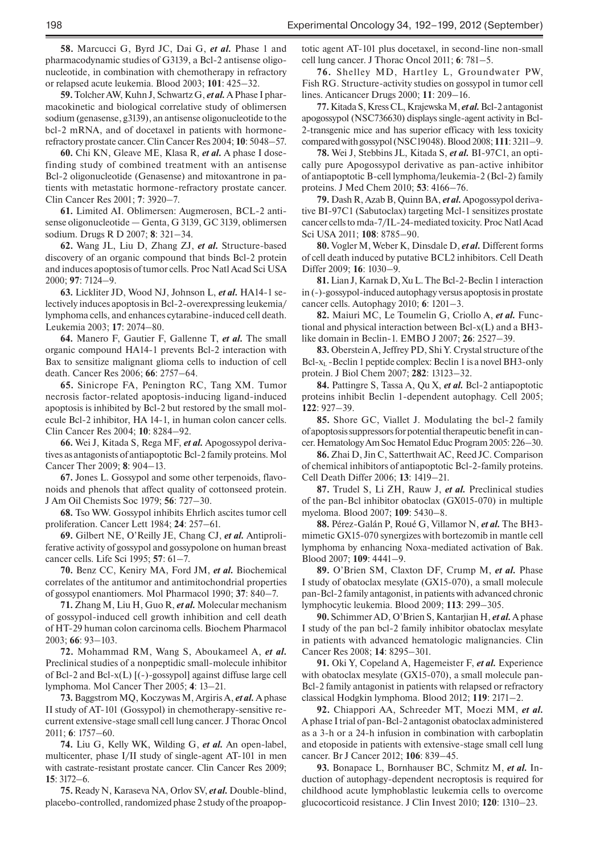**58.** Marcucci G, Byrd JC, Dai G, *et al.* Phase 1 and pharmacodynamic studies of G3139, a Bcl-2 antisense oligonucleotide, in combination with chemotherapy in refractory or relapsed acute leukemia. Blood 2003; **101**: 425–32.

**59.** Tolcher AW, Kuhn J, Schwartz G, *et al.* A Phase I pharmacokinetic and biological correlative study of oblimersen sodium (genasense, g3139), an antisense oligonucleotide to the bcl-2 mRNA, and of docetaxel in patients with hormonerefractory prostate cancer. Clin Cancer Res 2004; **10**: 5048–57.

**60.** Chi KN, Gleave ME, Klasa R, *et al.* A phase I dosefinding study of combined treatment with an antisense Bcl-2 oligonucleotide (Genasense) and mitoxantrone in patients with metastatic hormone-refractory prostate cancer. Clin Cancer Res 2001; **7**: 3920–7.

**61.** Limited AI. Oblimersen: Augmerosen, BCL-2 antisense oligonucleotide — Genta, G 3139, GC 3139, oblimersen sodium. Drugs R D 2007; **8**: 321–34.

**62.** Wang JL, Liu D, Zhang ZJ, *et al.* Structure-based discovery of an organic compound that binds Bcl-2 protein and induces apoptosis of tumor cells. Proc Natl Acad Sci USA 2000; **97**: 7124–9.

**63.** Lickliter JD, Wood NJ, Johnson L, *et al.* HA14-1 selectively induces apoptosis in Bcl-2-overexpressing leukemia/ lymphoma cells, and enhances cytarabine-induced cell death. Leukemia 2003; **17**: 2074–80.

**64.** Manero F, Gautier F, Gallenne T, *et al.* The small organic compound HA14-1 prevents Bcl-2 interaction with Bax to sensitize malignant glioma cells to induction of cell death. Cancer Res 2006; **66**: 2757–64.

**65.** Sinicrope FA, Penington RC, Tang XM. Tumor necrosis factor-related apoptosis-inducing ligand-induced apoptosis is inhibited by Bcl-2 but restored by the small molecule Bcl-2 inhibitor, HA 14-1, in human colon cancer cells. Clin Cancer Res 2004; **10**: 8284–92.

**66.** Wei J, Kitada S, Rega MF, *et al.* Apogossypol derivatives as antagonists of antiapoptotic Bcl-2 family proteins. Mol Cancer Ther 2009; **8**: 904–13.

**67.** Jones L. Gossypol and some other terpenoids, flavonoids and phenols that affect quality of cottonseed protein. J Am Oil Chemists Soc 1979; **56**: 727–30.

**68.** Tso WW. Gossypol inhibits Ehrlich ascites tumor cell proliferation. Cancer Lett 1984; **24**: 257–61.

**69.** Gilbert NE, O'Reilly JE, Chang CJ, *et al.* Antiproliferative activity of gossypol and gossypolone on human breast cancer cells. Life Sci 1995; **57**: 61–7.

**70.** Benz CC, Keniry MA, Ford JM, *et al.* Biochemical correlates of the antitumor and antimitochondrial properties of gossypol enantiomers. Mol Pharmacol 1990; **37**: 840–7.

**71.** Zhang M, Liu H, Guo R, *et al.* Molecular mechanism of gossypol-induced cell growth inhibition and cell death of HT-29 human colon carcinoma cells. Biochem Pharmacol 2003; **66**: 93–103.

**72.** Mohammad RM, Wang S, Aboukameel A, *et al.*  Preclinical studies of a nonpeptidic small-molecule inhibitor of Bcl-2 and Bcl-x(L) [(-)-gossypol] against diffuse large cell lymphoma. Mol Cancer Ther 2005; **4**: 13–21.

**73.** Baggstrom MQ, Koczywas M, Argiris A, *et al.* A phase II study of AT-101 (Gossypol) in chemotherapy-sensitive recurrent extensive-stage small cell lung cancer. J Thorac Oncol 2011; **6**: 1757–60.

**74.** Liu G, Kelly WK, Wilding G, *et al.* An open-label, multicenter, phase I/II study of single-agent AT-101 in men with castrate-resistant prostate cancer. Clin Cancer Res 2009; **15**: 3172–6.

**75.** Ready N, Karaseva NA, Orlov SV, *et al.* Double-blind, placebo-controlled, randomized phase 2 study of the proapoptotic agent AT-101 plus docetaxel, in second-line non-small cell lung cancer. J Thorac Oncol 2011; **6**: 781–5.

**76.** Shelley MD, Hartley L, Groundwater PW, Fish RG. Structure-activity studies on gossypol in tumor cell lines. Anticancer Drugs 2000; **11**: 209–16.

**77.** Kitada S, Kress CL, Krajewska M, *et al.* Bcl-2 antagonist apogossypol (NSC736630) displays single-agent activity in Bcl-2-transgenic mice and has superior efficacy with less toxicity compared with gossypol (NSC19048). Blood 2008; **111**: 3211–9.

**78.** Wei J, Stebbins JL, Kitada S, *et al.* BI-97C1, an optically pure Apogossypol derivative as pan-active inhibitor of antiapoptotic B-cell lymphoma/leukemia-2 (Bcl-2) family proteins. J Med Chem 2010; **53**: 4166–76.

**79.** Dash R, Azab B, Quinn BA, *et al.* Apogossypol derivative BI-97C1 (Sabutoclax) targeting Mcl-1 sensitizes prostate cancer cells to mda-7/IL-24-mediated toxicity. Proc Natl Acad Sci USA 2011; **108**: 8785–90.

**80.** Vogler M, Weber K, Dinsdale D, *et al.* Different forms of cell death induced by putative BCL2 inhibitors. Cell Death Differ 2009; **16**: 1030–9.

**81.** Lian J, Karnak D, Xu L. The Bcl-2-Beclin 1 interaction in (-)-gossypol-induced autophagy versus apoptosis in prostate cancer cells. Autophagy 2010; **6**: 1201–3.

**82.** Maiuri MC, Le Toumelin G, Criollo A, *et al.* Functional and physical interaction between Bcl-x(L) and a BH3 like domain in Beclin-1. EMBO J 2007; **26**: 2527–39.

**83.** Oberstein A, Jeffrey PD, Shi Y. Crystal structure of the Bcl- $x_L$  -Beclin 1 peptide complex: Beclin 1 is a novel BH3-only protein. J Biol Chem 2007; **282**: 13123–32.

**84.** Pattingre S, Tassa A, Qu X, *et al.* Bcl-2 antiapoptotic proteins inhibit Beclin 1-dependent autophagy. Cell 2005; **122**: 927–39.

**85.** Shore GC, Viallet J. Modulating the bcl-2 family of apoptosis suppressors for potential therapeutic benefit in cancer. Hematology Am Soc Hematol Educ Program 2005: 226–30.

**86.** Zhai D, Jin C, Satterthwait AC, Reed JC. Comparison of chemical inhibitors of antiapoptotic Bcl-2-family proteins. Cell Death Differ 2006; **13**: 1419–21.

**87.** Trudel S, Li ZH, Rauw J, *et al.* Preclinical studies of the pan-Bcl inhibitor obatoclax (GX015-070) in multiple myeloma. Blood 2007; **109**: 5430–8.

**88.** Pérez-Galán P, Roué G, Villamor N, *et al.* The BH3 mimetic GX15-070 synergizes with bortezomib in mantle cell lymphoma by enhancing Noxa-mediated activation of Bak. Blood 2007; **109**: 4441–9.

**89.** O'Brien SM, Claxton DF, Crump M, *et al.* Phase I study of obatoclax mesylate (GX15-070), a small molecule pan-Bcl-2 family antagonist, in patients with advanced chronic lymphocytic leukemia. Blood 2009; **113**: 299–305.

**90.** Schimmer AD, O'Brien S, Kantarjian H, *et al.* A phase I study of the pan bcl-2 family inhibitor obatoclax mesylate in patients with advanced hematologic malignancies. Clin Cancer Res 2008; **14**: 8295–301.

**91.** Oki Y, Copeland A, Hagemeister F, *et al.* Experience with obatoclax mesylate (GX15-070), a small molecule pan-Bcl-2 family antagonist in patients with relapsed or refractory classical Hodgkin lymphoma. Blood 2012; **119**: 2171–2.

**92.** Chiappori AA, Schreeder MT, Moezi MM, *et al.* A phase I trial of pan-Bcl-2 antagonist obatoclax administered as a 3-h or a 24-h infusion in combination with carboplatin and etoposide in patients with extensive-stage small cell lung cancer. Br J Cancer 2012; **106**: 839–45.

**93.** Bonapace L, Bornhauser BC, Schmitz M, *et al.* Induction of autophagy-dependent necroptosis is required for childhood acute lymphoblastic leukemia cells to overcome glucocorticoid resistance. J Clin Invest 2010; **120**: 1310–23.